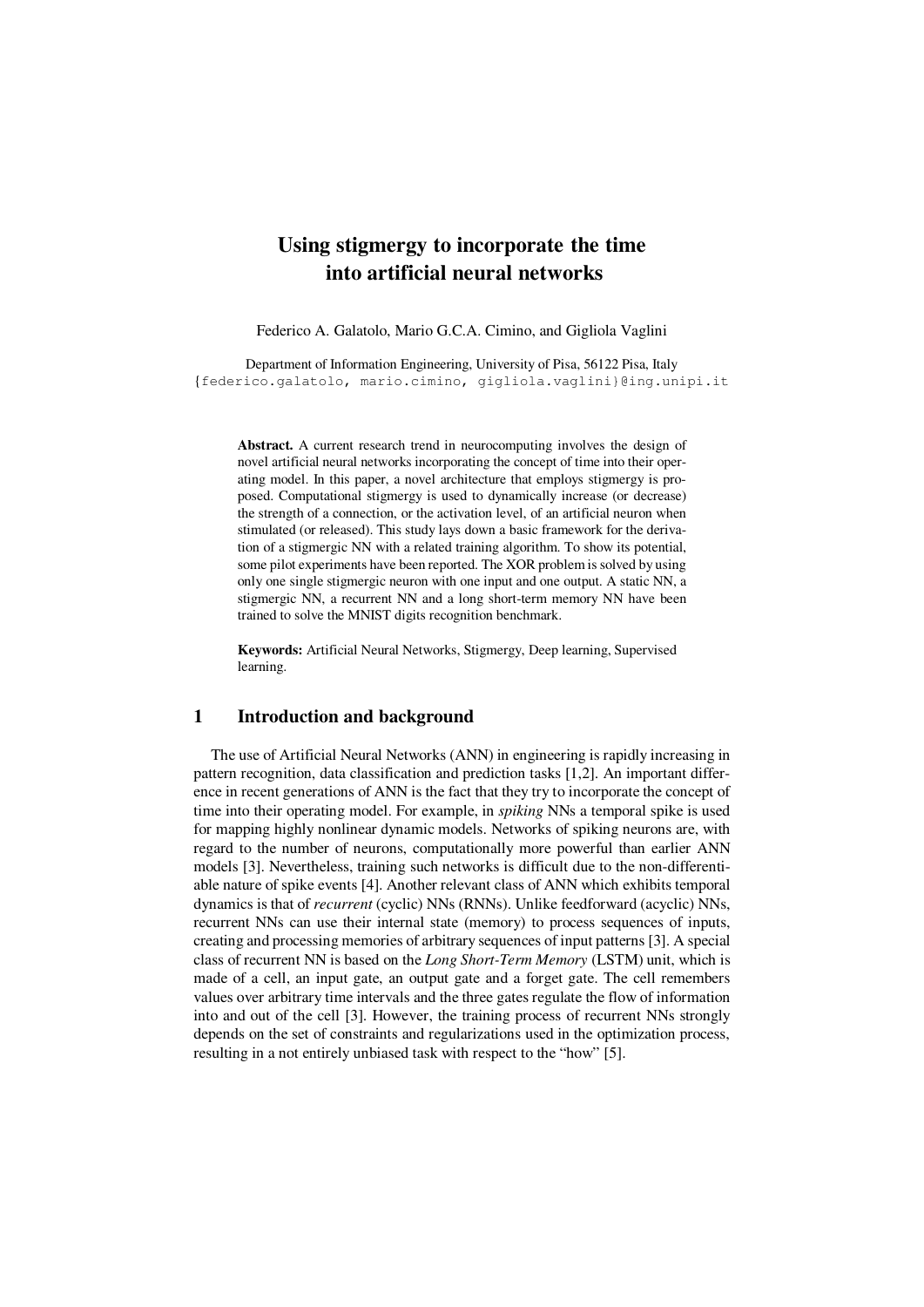# **Using stigmergy to incorporate the time into artificial neural networks**

Federico A. Galatolo, Mario G.C.A. Cimino, and Gigliola Vaglini

Department of Information Engineering, University of Pisa, 56122 Pisa, Italy {federico.galatolo, mario.cimino, gigliola.vaglini}@ing.unipi.it

**Abstract.** A current research trend in neurocomputing involves the design of novel artificial neural networks incorporating the concept of time into their operating model. In this paper, a novel architecture that employs stigmergy is proposed. Computational stigmergy is used to dynamically increase (or decrease) the strength of a connection, or the activation level, of an artificial neuron when stimulated (or released). This study lays down a basic framework for the derivation of a stigmergic NN with a related training algorithm. To show its potential, some pilot experiments have been reported. The XOR problem is solved by using only one single stigmergic neuron with one input and one output. A static NN, a stigmergic NN, a recurrent NN and a long short-term memory NN have been trained to solve the MNIST digits recognition benchmark.

**Keywords:** Artificial Neural Networks, Stigmergy, Deep learning, Supervised learning.

## **1 Introduction and background**

The use of Artificial Neural Networks (ANN) in engineering is rapidly increasing in pattern recognition, data classification and prediction tasks [1,2]. An important difference in recent generations of ANN is the fact that they try to incorporate the concept of time into their operating model. For example, in *spiking* NNs a temporal spike is used for mapping highly nonlinear dynamic models. Networks of spiking neurons are, with regard to the number of neurons, computationally more powerful than earlier ANN models [3]. Nevertheless, training such networks is difficult due to the non-differentiable nature of spike events [4]. Another relevant class of ANN which exhibits temporal dynamics is that of *recurrent* (cyclic) NNs (RNNs). Unlike feedforward (acyclic) NNs, recurrent NNs can use their internal state (memory) to process sequences of inputs, creating and processing memories of arbitrary sequences of input patterns [3]. A special class of recurrent NN is based on the *Long Short-Term Memory* (LSTM) unit, which is made of a cell, an input gate, an output gate and a forget gate. The cell remembers values over arbitrary time intervals and the three gates regulate the flow of information into and out of the cell [3]. However, the training process of recurrent NNs strongly depends on the set of constraints and regularizations used in the optimization process, resulting in a not entirely unbiased task with respect to the "how" [5].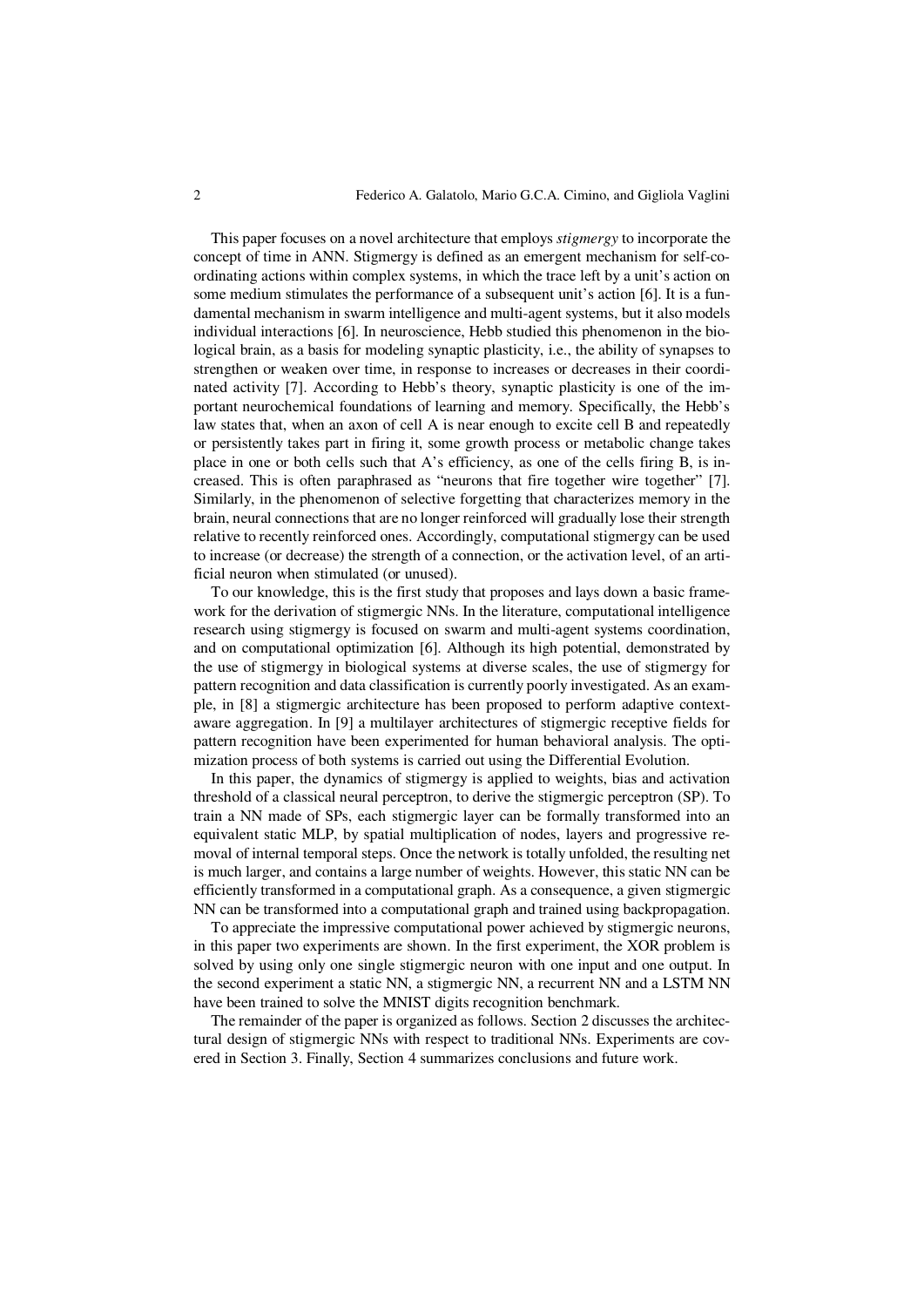This paper focuses on a novel architecture that employs *stigmergy* to incorporate the concept of time in ANN. Stigmergy is defined as an emergent mechanism for self-coordinating actions within complex systems, in which the trace left by a unit's action on some medium stimulates the performance of a subsequent unit's action [6]. It is a fundamental mechanism in swarm intelligence and multi-agent systems, but it also models individual interactions [6]. In neuroscience, Hebb studied this phenomenon in the biological brain, as a basis for modeling synaptic plasticity, i.e., the ability of synapses to strengthen or weaken over time, in response to increases or decreases in their coordinated activity [7]. According to Hebb's theory, synaptic plasticity is one of the important neurochemical foundations of learning and memory. Specifically, the Hebb's law states that, when an axon of cell A is near enough to excite cell B and repeatedly or persistently takes part in firing it, some growth process or metabolic change takes place in one or both cells such that A's efficiency, as one of the cells firing B, is increased. This is often paraphrased as "neurons that fire together wire together" [7]. Similarly, in the phenomenon of selective forgetting that characterizes memory in the brain, neural connections that are no longer reinforced will gradually lose their strength relative to recently reinforced ones. Accordingly, computational stigmergy can be used to increase (or decrease) the strength of a connection, or the activation level, of an artificial neuron when stimulated (or unused).

To our knowledge, this is the first study that proposes and lays down a basic framework for the derivation of stigmergic NNs. In the literature, computational intelligence research using stigmergy is focused on swarm and multi-agent systems coordination, and on computational optimization [6]. Although its high potential, demonstrated by the use of stigmergy in biological systems at diverse scales, the use of stigmergy for pattern recognition and data classification is currently poorly investigated. As an example, in [8] a stigmergic architecture has been proposed to perform adaptive contextaware aggregation. In [9] a multilayer architectures of stigmergic receptive fields for pattern recognition have been experimented for human behavioral analysis. The optimization process of both systems is carried out using the Differential Evolution.

In this paper, the dynamics of stigmergy is applied to weights, bias and activation threshold of a classical neural perceptron, to derive the stigmergic perceptron (SP). To train a NN made of SPs, each stigmergic layer can be formally transformed into an equivalent static MLP, by spatial multiplication of nodes, layers and progressive removal of internal temporal steps. Once the network is totally unfolded, the resulting net is much larger, and contains a large number of weights. However, this static NN can be efficiently transformed in a computational graph. As a consequence, a given stigmergic NN can be transformed into a computational graph and trained using backpropagation.

To appreciate the impressive computational power achieved by stigmergic neurons, in this paper two experiments are shown. In the first experiment, the XOR problem is solved by using only one single stigmergic neuron with one input and one output. In the second experiment a static NN, a stigmergic NN, a recurrent NN and a LSTM NN have been trained to solve the MNIST digits recognition benchmark.

The remainder of the paper is organized as follows. Section 2 discusses the architectural design of stigmergic NNs with respect to traditional NNs. Experiments are covered in Section 3. Finally, Section 4 summarizes conclusions and future work.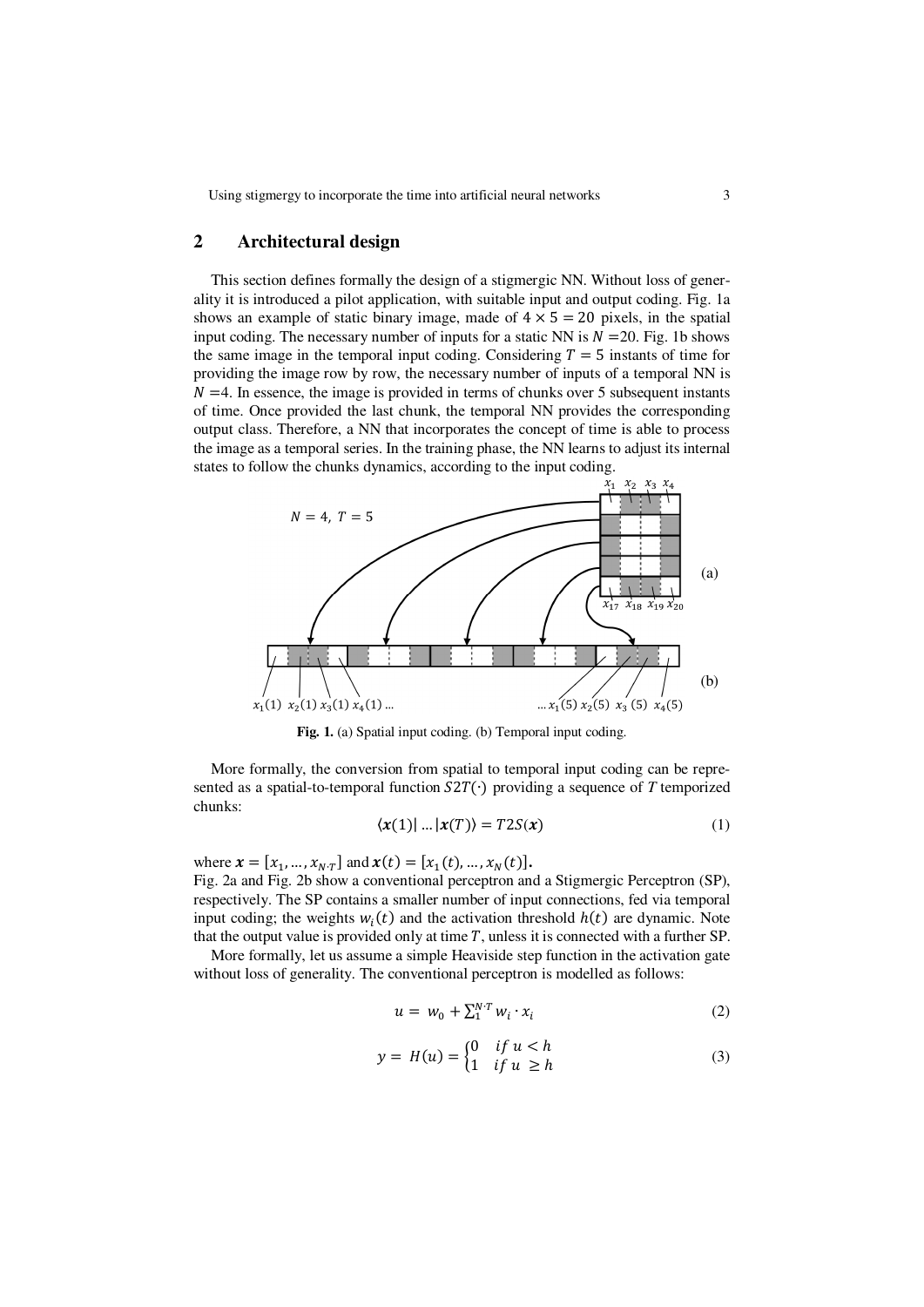Using stigmergy to incorporate the time into artificial neural networks 3

## **2 Architectural design**

This section defines formally the design of a stigmergic NN. Without loss of generality it is introduced a pilot application, with suitable input and output coding. Fig. 1a shows an example of static binary image, made of  $4 \times 5 = 20$  pixels, in the spatial input coding. The necessary number of inputs for a static NN is  $N = 20$ . Fig. 1b shows the same image in the temporal input coding. Considering  $T = 5$  instants of time for providing the image row by row, the necessary number of inputs of a temporal NN is  $N = 4$ . In essence, the image is provided in terms of chunks over 5 subsequent instants of time. Once provided the last chunk, the temporal NN provides the corresponding output class. Therefore, a NN that incorporates the concept of time is able to process the image as a temporal series. In the training phase, the NN learns to adjust its internal states to follow the chunks dynamics, according to the input coding.



**Fig. 1.** (a) Spatial input coding. (b) Temporal input coding.

More formally, the conversion from spatial to temporal input coding can be represented as a spatial-to-temporal function  $S2T(·)$  providing a sequence of *T* temporized chunks:

$$
\langle x(1) | \dots | x(T) \rangle = T2S(x) \tag{1}
$$

where  $\mathbf{x} = [x_1, ..., x_{N \cdot T}]$  and  $\mathbf{x}(t) = [x_1(t), ..., x_N(t)].$ Fig. 2a and Fig. 2b show a conventional perceptron and a Stigmergic Perceptron (SP), respectively. The SP contains a smaller number of input connections, fed via temporal input coding; the weights  $w_i(t)$  and the activation threshold  $h(t)$  are dynamic. Note that the output value is provided only at time  $T$ , unless it is connected with a further SP.

More formally, let us assume a simple Heaviside step function in the activation gate without loss of generality. The conventional perceptron is modelled as follows:

$$
u = w_0 + \sum_{i=1}^{N} w_i \cdot x_i \tag{2}
$$

$$
y = H(u) = \begin{cases} 0 & \text{if } u < h \\ 1 & \text{if } u \ge h \end{cases}
$$
 (3)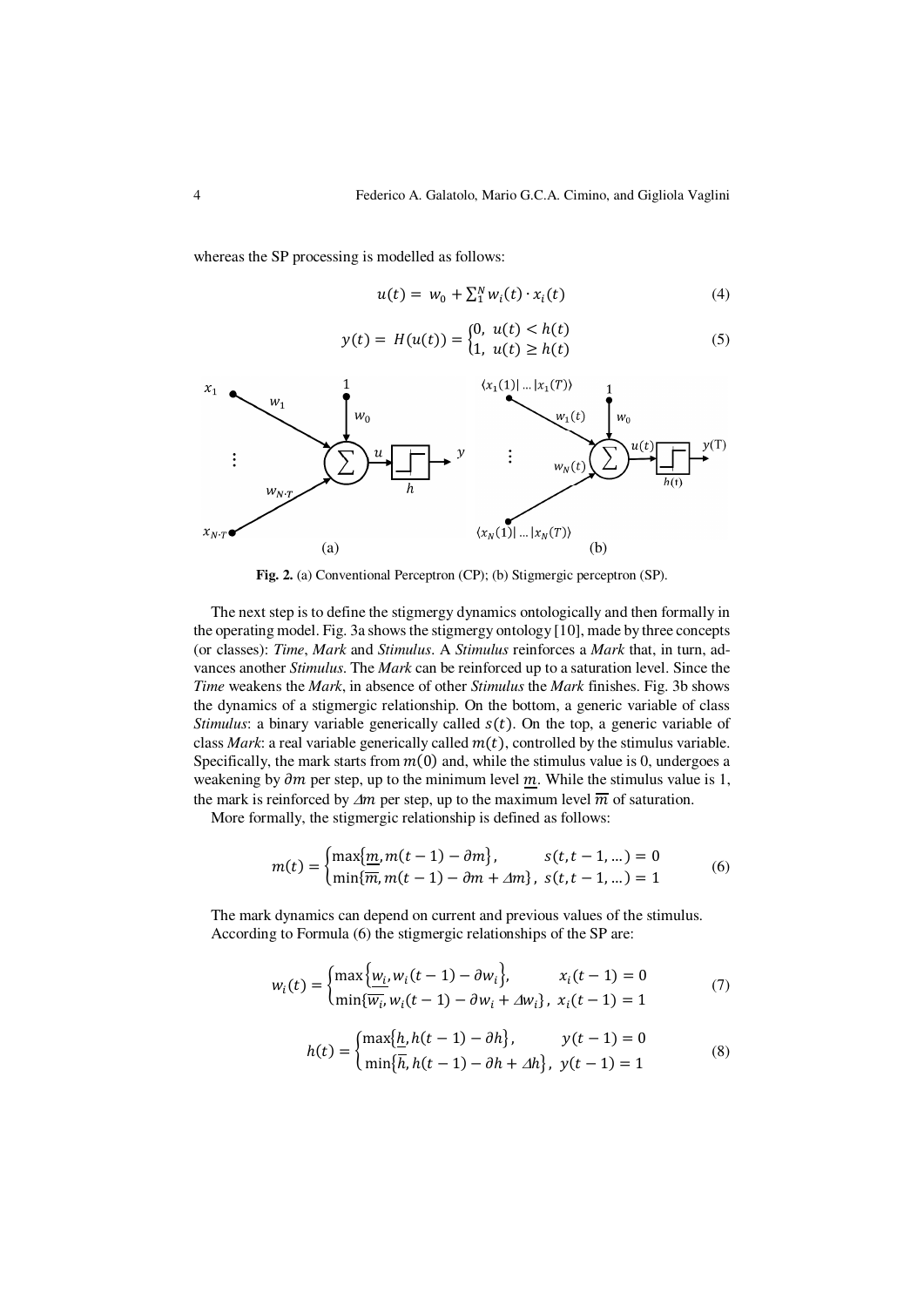whereas the SP processing is modelled as follows:

$$
u(t) = w_0 + \sum_1^N w_i(t) \cdot x_i(t) \tag{4}
$$

$$
y(t) = H(u(t)) = \begin{cases} 0, & u(t) < h(t) \\ 1, & u(t) \ge h(t) \end{cases}
$$
 (5)



**Fig. 2.** (a) Conventional Perceptron (CP); (b) Stigmergic perceptron (SP).

The next step is to define the stigmergy dynamics ontologically and then formally in the operating model. Fig. 3a shows the stigmergy ontology [10], made by three concepts (or classes): *Time*, *Mark* and *Stimulus*. A *Stimulus* reinforces a *Mark* that, in turn, advances another *Stimulus*. The *Mark* can be reinforced up to a saturation level. Since the *Time* weakens the *Mark*, in absence of other *Stimulus* the *Mark* finishes. Fig. 3b shows the dynamics of a stigmergic relationship. On the bottom, a generic variable of class *Stimulus*: a binary variable generically called  $s(t)$ . On the top, a generic variable of class *Mark*: a real variable generically called  $m(t)$ , controlled by the stimulus variable. Specifically, the mark starts from  $m(0)$  and, while the stimulus value is 0, undergoes a weakening by  $\partial m$  per step, up to the minimum level  $m$ . While the stimulus value is 1, the mark is reinforced by  $\Delta m$  per step, up to the maximum level  $\overline{m}$  of saturation.

More formally, the stigmergic relationship is defined as follows:

$$
m(t) = \begin{cases} \max\{m, m(t-1) - \partial m\}, & s(t, t-1, ...)=0\\ \min\{\overline{m}, m(t-1) - \partial m + \Delta m\}, & s(t, t-1, ...)=1 \end{cases}
$$
(6)

The mark dynamics can depend on current and previous values of the stimulus. According to Formula (6) the stigmergic relationships of the SP are:

$$
w_i(t) = \begin{cases} \max \{ w_i, w_i(t-1) - \partial w_i \}, & x_i(t-1) = 0 \\ \min \{ \overline{w_i}, w_i(t-1) - \partial w_i + \Delta w_i \}, & x_i(t-1) = 1 \end{cases}
$$
(7)

$$
h(t) = \begin{cases} \max\{\underline{h}, h(t-1) - \partial h\}, & y(t-1) = 0\\ \min\{\overline{h}, h(t-1) - \partial h + \Delta h\}, & y(t-1) = 1 \end{cases}
$$
(8)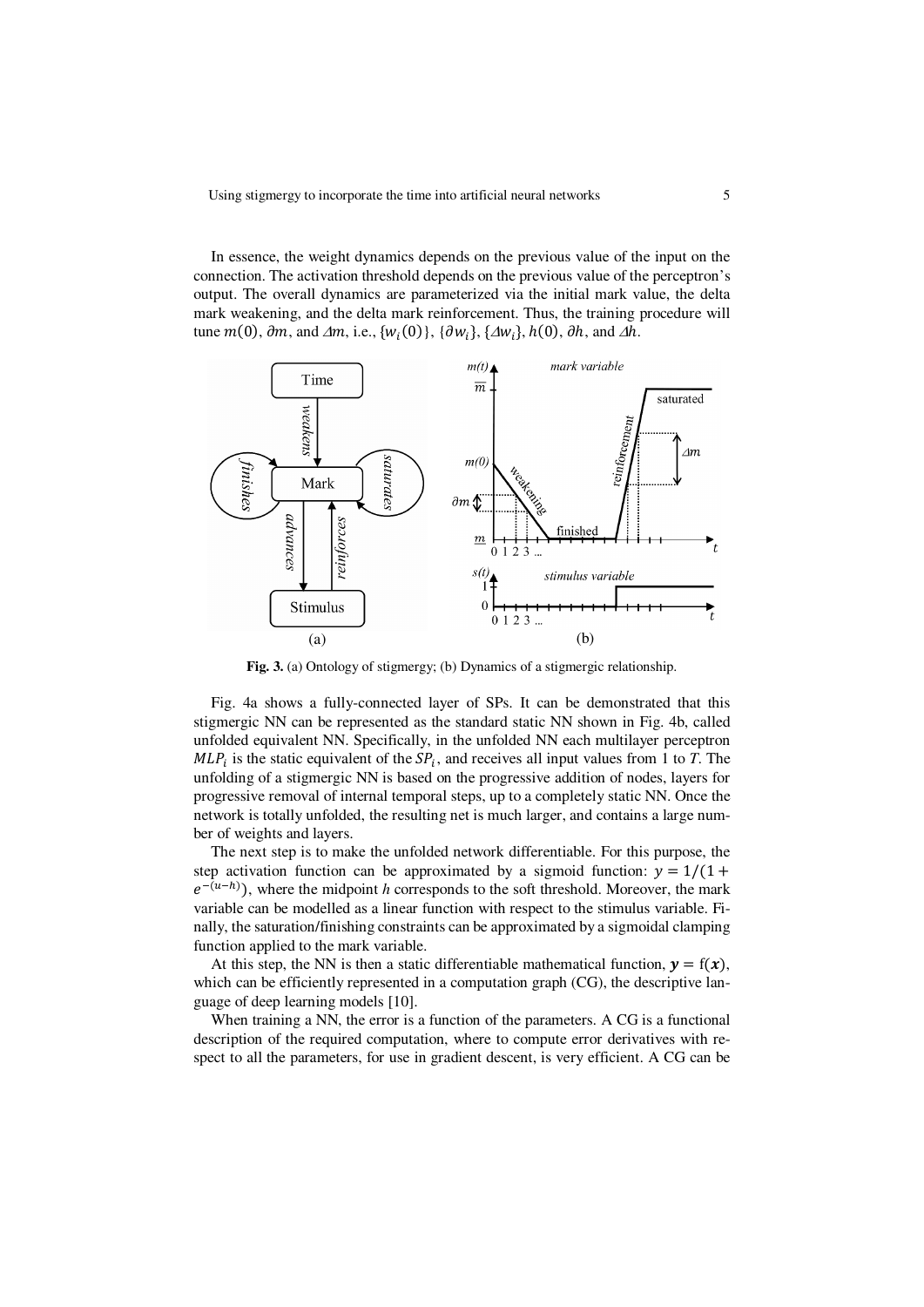In essence, the weight dynamics depends on the previous value of the input on the connection. The activation threshold depends on the previous value of the perceptron's output. The overall dynamics are parameterized via the initial mark value, the delta mark weakening, and the delta mark reinforcement. Thus, the training procedure will tune  $m(0)$ ,  $\partial m$ , and  $\Delta m$ , i.e.,  $\{w_i(0)\}\$ ,  $\{\partial w_i\}$ ,  $\{\Delta w_i\}$ ,  $h(0)$ ,  $\partial h$ , and  $\Delta h$ .



**Fig. 3.** (a) Ontology of stigmergy; (b) Dynamics of a stigmergic relationship.

Fig. 4a shows a fully-connected layer of SPs. It can be demonstrated that this stigmergic NN can be represented as the standard static NN shown in Fig. 4b, called unfolded equivalent NN. Specifically, in the unfolded NN each multilayer perceptron  $MLP_i$  is the static equivalent of the  $SP_i$ , and receives all input values from 1 to *T*. The unfolding of a stigmergic NN is based on the progressive addition of nodes, layers for progressive removal of internal temporal steps, up to a completely static NN. Once the network is totally unfolded, the resulting net is much larger, and contains a large number of weights and layers.

The next step is to make the unfolded network differentiable. For this purpose, the step activation function can be approximated by a sigmoid function:  $y = 1/(1 +$  $e^{-(u-h)}$ ), where the midpoint *h* corresponds to the soft threshold. Moreover, the mark variable can be modelled as a linear function with respect to the stimulus variable. Finally, the saturation/finishing constraints can be approximated by a sigmoidal clamping function applied to the mark variable.

At this step, the NN is then a static differentiable mathematical function,  $y = f(x)$ , which can be efficiently represented in a computation graph (CG), the descriptive language of deep learning models [10].

When training a NN, the error is a function of the parameters. A CG is a functional description of the required computation, where to compute error derivatives with respect to all the parameters, for use in gradient descent, is very efficient. A CG can be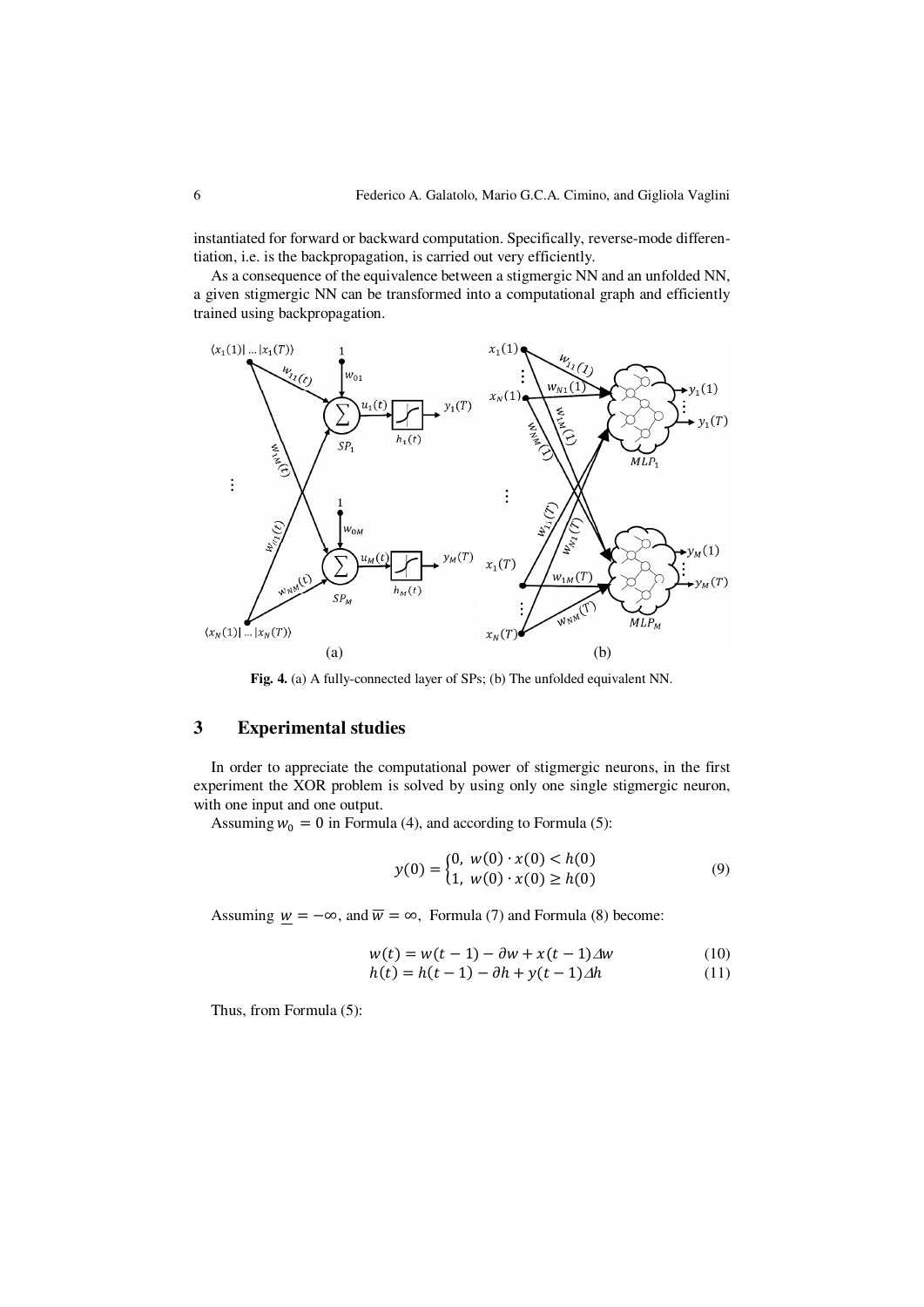instantiated for forward or backward computation. Specifically, reverse-mode differentiation, i.e. is the backpropagation, is carried out very efficiently.

As a consequence of the equivalence between a stigmergic NN and an unfolded NN, a given stigmergic NN can be transformed into a computational graph and efficiently trained using backpropagation.



**Fig. 4.** (a) A fully-connected layer of SPs; (b) The unfolded equivalent NN.

# **3 Experimental studies**

In order to appreciate the computational power of stigmergic neurons, in the first experiment the XOR problem is solved by using only one single stigmergic neuron, with one input and one output.

Assuming  $w_0 = 0$  in Formula (4), and according to Formula (5):

$$
y(0) = \begin{cases} 0, & w(0) \cdot x(0) < h(0) \\ 1, & w(0) \cdot x(0) \ge h(0) \end{cases}
$$
(9)

Assuming  $w = -\infty$ , and  $\overline{w} = \infty$ , Formula (7) and Formula (8) become:

$$
w(t) = w(t-1) - \partial w + x(t-1)\Delta w
$$
 (10)  

$$
h(t) = h(t-1) - \partial h + y(t-1)\Delta h
$$
 (11)

 $h(t) = h(t-1) - \partial h + y(t-1)\Delta h$  (11)

Thus, from Formula (5):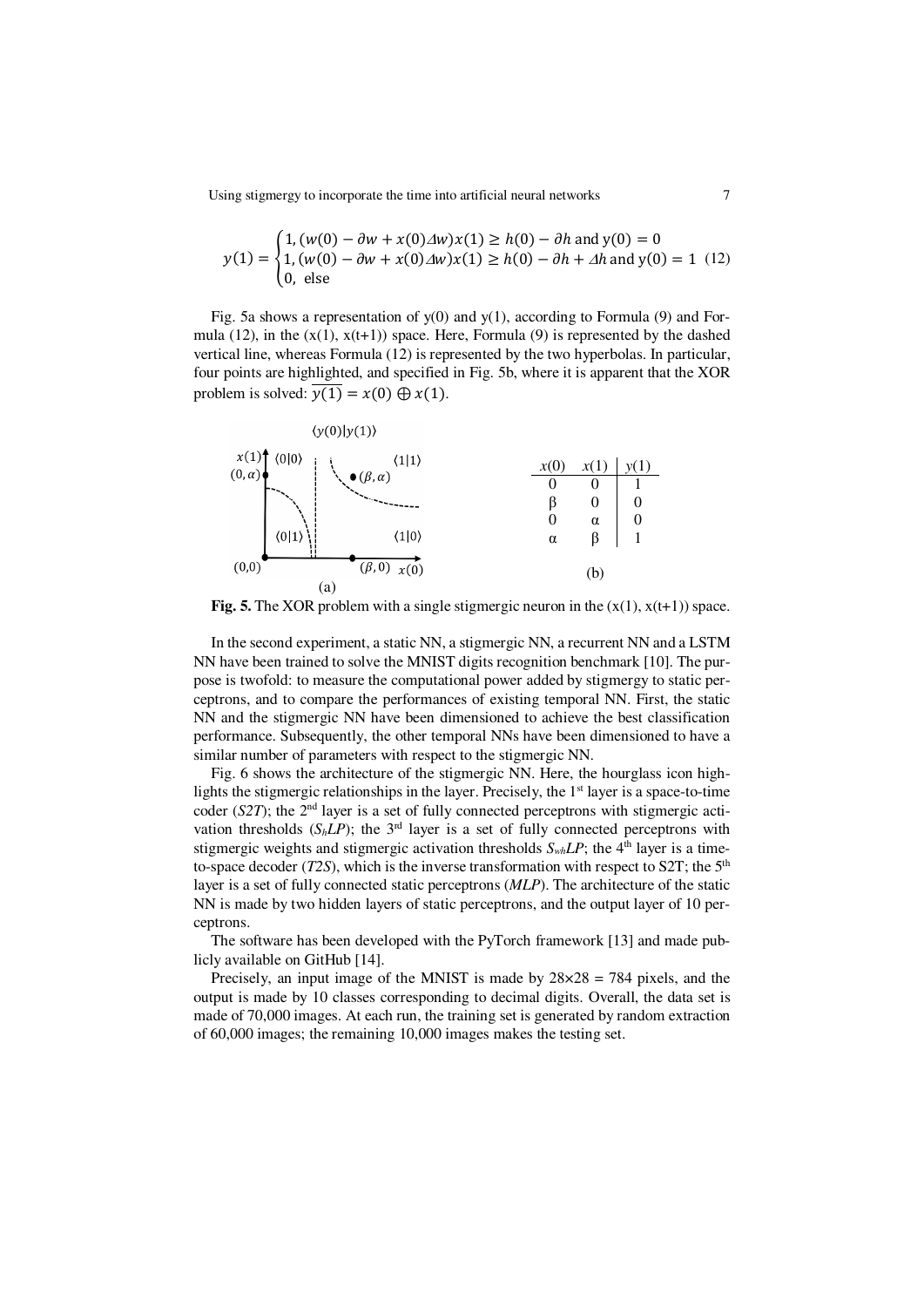Using stigmergy to incorporate the time into artificial neural networks  $7$ 

$$
y(1) = \begin{cases} 1, (w(0) - \partial w + x(0)\Delta w)x(1) \ge h(0) - \partial h \text{ and } y(0) = 0\\ 1, (w(0) - \partial w + x(0)\Delta w)x(1) \ge h(0) - \partial h + \Delta h \text{ and } y(0) = 1 \ (12) \\ 0, \text{ else} \end{cases}
$$

Fig. 5a shows a representation of  $y(0)$  and  $y(1)$ , according to Formula (9) and Formula (12), in the  $(x(1), x(t+1))$  space. Here, Formula (9) is represented by the dashed vertical line, whereas Formula (12) is represented by the two hyperbolas. In particular, four points are highlighted, and specified in Fig. 5b, where it is apparent that the XOR problem is solved:  $\overline{y(1)} = x(0) \bigoplus x(1)$ .



**Fig. 5.** The XOR problem with a single stigmergic neuron in the  $(x(1), x(t+1))$  space.

In the second experiment, a static NN, a stigmergic NN, a recurrent NN and a LSTM NN have been trained to solve the MNIST digits recognition benchmark [10]. The purpose is twofold: to measure the computational power added by stigmergy to static perceptrons, and to compare the performances of existing temporal NN. First, the static NN and the stigmergic NN have been dimensioned to achieve the best classification performance. Subsequently, the other temporal NNs have been dimensioned to have a similar number of parameters with respect to the stigmergic NN.

Fig. 6 shows the architecture of the stigmergic NN. Here, the hourglass icon highlights the stigmergic relationships in the layer. Precisely, the  $1<sup>st</sup>$  layer is a space-to-time coder (*S2T*); the 2<sup>nd</sup> layer is a set of fully connected perceptrons with stigmergic activation thresholds  $(S_h L P)$ ; the 3<sup>rd</sup> layer is a set of fully connected perceptrons with stigmergic weights and stigmergic activation thresholds  $S_{wh}LP$ ; the 4<sup>th</sup> layer is a timeto-space decoder (*T2S*), which is the inverse transformation with respect to S2T; the  $5<sup>th</sup>$ layer is a set of fully connected static perceptrons (*MLP*). The architecture of the static NN is made by two hidden layers of static perceptrons, and the output layer of 10 perceptrons.

The software has been developed with the PyTorch framework [13] and made publicly available on GitHub [14].

Precisely, an input image of the MNIST is made by  $28 \times 28 = 784$  pixels, and the output is made by 10 classes corresponding to decimal digits. Overall, the data set is made of 70,000 images. At each run, the training set is generated by random extraction of 60,000 images; the remaining 10,000 images makes the testing set.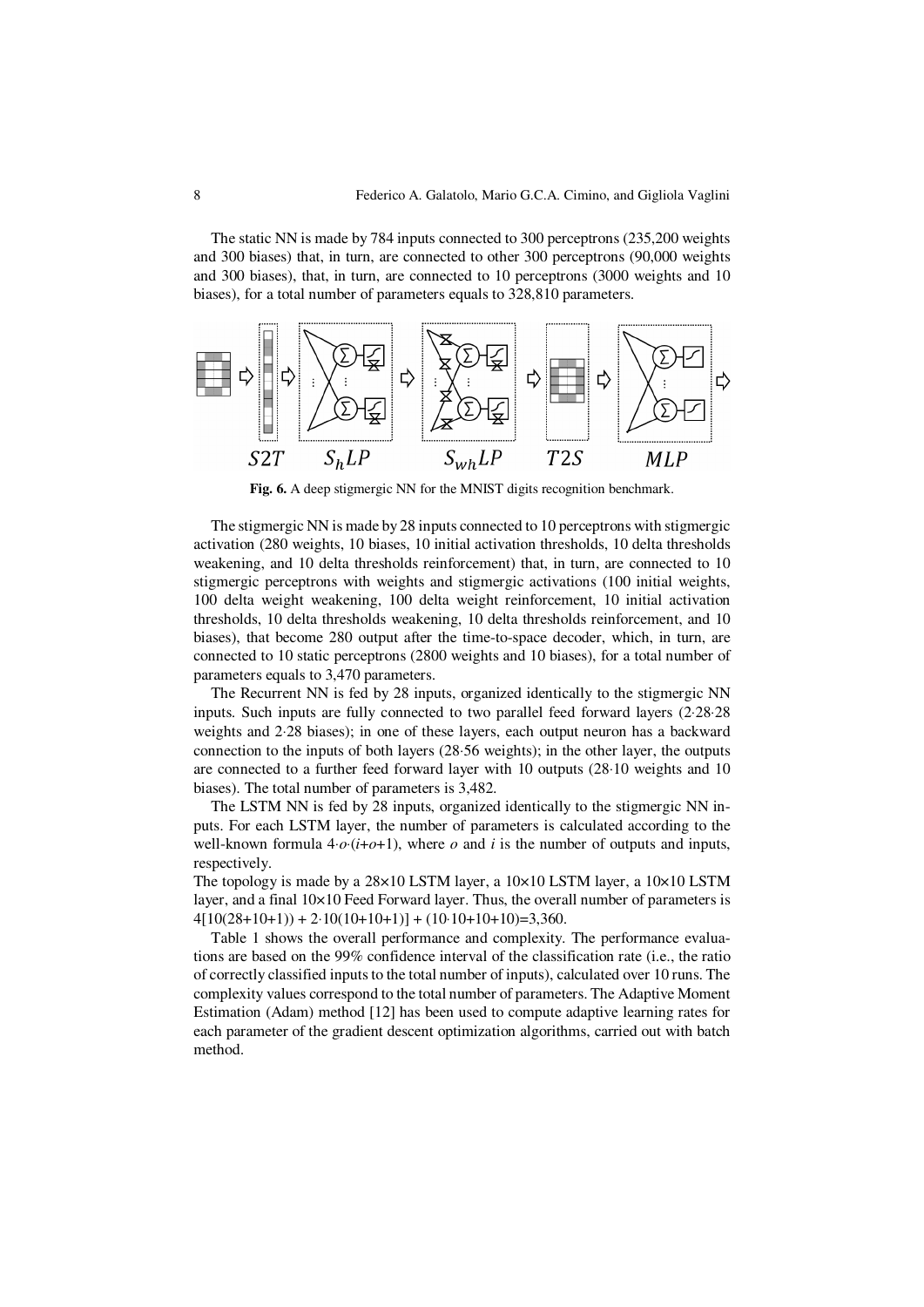The static NN is made by 784 inputs connected to 300 perceptrons (235,200 weights and 300 biases) that, in turn, are connected to other 300 perceptrons (90,000 weights and 300 biases), that, in turn, are connected to 10 perceptrons (3000 weights and 10 biases), for a total number of parameters equals to 328,810 parameters.



**Fig. 6.** A deep stigmergic NN for the MNIST digits recognition benchmark.

The stigmergic NN is made by 28 inputs connected to 10 perceptrons with stigmergic activation (280 weights, 10 biases, 10 initial activation thresholds, 10 delta thresholds weakening, and 10 delta thresholds reinforcement) that, in turn, are connected to 10 stigmergic perceptrons with weights and stigmergic activations (100 initial weights, 100 delta weight weakening, 100 delta weight reinforcement, 10 initial activation thresholds, 10 delta thresholds weakening, 10 delta thresholds reinforcement, and 10 biases), that become 280 output after the time-to-space decoder, which, in turn, are connected to 10 static perceptrons (2800 weights and 10 biases), for a total number of parameters equals to 3,470 parameters.

The Recurrent NN is fed by 28 inputs, organized identically to the stigmergic NN inputs. Such inputs are fully connected to two parallel feed forward layers (2⋅28⋅28 weights and 2⋅28 biases); in one of these layers, each output neuron has a backward connection to the inputs of both layers (28⋅56 weights); in the other layer, the outputs are connected to a further feed forward layer with 10 outputs (28⋅10 weights and 10 biases). The total number of parameters is 3,482.

 The LSTM NN is fed by 28 inputs, organized identically to the stigmergic NN inputs. For each LSTM layer, the number of parameters is calculated according to the well-known formula  $4 \cdot o \cdot (i + o + 1)$ , where *o* and *i* is the number of outputs and inputs, respectively.

The topology is made by a  $28\times10$  LSTM layer, a  $10\times10$  LSTM layer, a  $10\times10$  LSTM layer, and a final  $10\times10$  Feed Forward layer. Thus, the overall number of parameters is  $4[10(28+10+1)) + 2.10(10+10+1)] + (10.10+10+10)=3,360.$ 

Table 1 shows the overall performance and complexity. The performance evaluations are based on the 99% confidence interval of the classification rate (i.e., the ratio of correctly classified inputs to the total number of inputs), calculated over 10 runs. The complexity values correspond to the total number of parameters. The Adaptive Moment Estimation (Adam) method [12] has been used to compute adaptive learning rates for each parameter of the gradient descent optimization algorithms, carried out with batch method.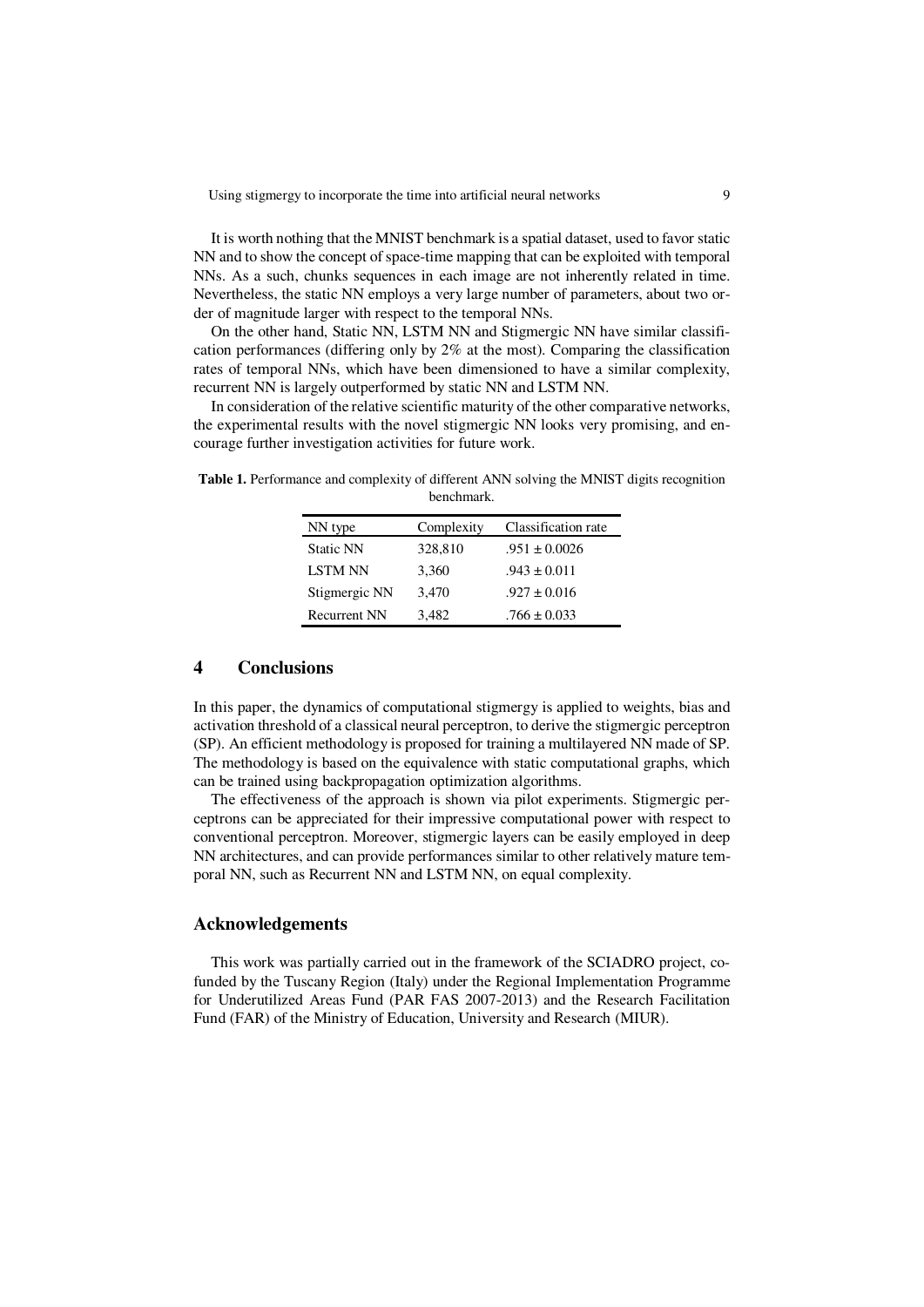It is worth nothing that the MNIST benchmark is a spatial dataset, used to favor static NN and to show the concept of space-time mapping that can be exploited with temporal NNs. As a such, chunks sequences in each image are not inherently related in time. Nevertheless, the static NN employs a very large number of parameters, about two order of magnitude larger with respect to the temporal NNs.

On the other hand, Static NN, LSTM NN and Stigmergic NN have similar classification performances (differing only by 2% at the most). Comparing the classification rates of temporal NNs, which have been dimensioned to have a similar complexity, recurrent NN is largely outperformed by static NN and LSTM NN.

In consideration of the relative scientific maturity of the other comparative networks, the experimental results with the novel stigmergic NN looks very promising, and encourage further investigation activities for future work.

| NN type             | Complexity | Classification rate |
|---------------------|------------|---------------------|
| <b>Static NN</b>    | 328,810    | $.951 \pm 0.0026$   |
| <b>LSTM NN</b>      | 3,360      | $.943 \pm 0.011$    |
| Stigmergic NN       | 3,470      | $.927 \pm 0.016$    |
| <b>Recurrent NN</b> | 3,482      | $.766 \pm 0.033$    |

**Table 1.** Performance and complexity of different ANN solving the MNIST digits recognition benchmark.

### **4 Conclusions**

In this paper, the dynamics of computational stigmergy is applied to weights, bias and activation threshold of a classical neural perceptron, to derive the stigmergic perceptron (SP). An efficient methodology is proposed for training a multilayered NN made of SP. The methodology is based on the equivalence with static computational graphs, which can be trained using backpropagation optimization algorithms.

 The effectiveness of the approach is shown via pilot experiments. Stigmergic perceptrons can be appreciated for their impressive computational power with respect to conventional perceptron. Moreover, stigmergic layers can be easily employed in deep NN architectures, and can provide performances similar to other relatively mature temporal NN, such as Recurrent NN and LSTM NN, on equal complexity.

### **Acknowledgements**

This work was partially carried out in the framework of the SCIADRO project, cofunded by the Tuscany Region (Italy) under the Regional Implementation Programme for Underutilized Areas Fund (PAR FAS 2007-2013) and the Research Facilitation Fund (FAR) of the Ministry of Education, University and Research (MIUR).